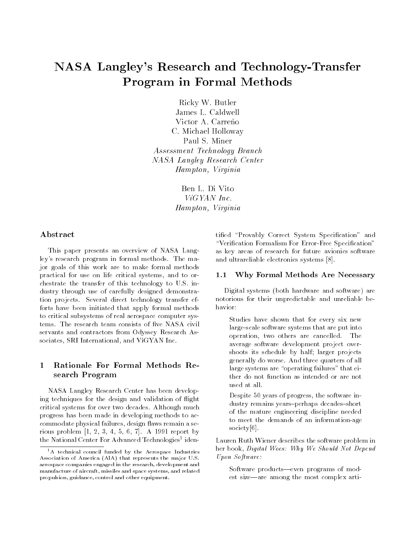# NASA Langley's Research and Technology-Transfer Program in Formal Methods

Ricky W. Butler James L. Caldwell Victor A. Carreño C. Michael Holloway Paul S. Miner Assessment Technology Branch NASA Langley Research Center Hampton, Virginia

> Ben L. Di Vito ViGYAN Inc. Hampton, Virginia

# Abstract

This paper presents an overview of NASA Langley's research program in formal methods. The major goals of this work are to make formal methods practical for use on life critical systems, and to orchestrate the transfer of this technology to U.S. industry through use of carefully designed demonstration projects. Several direct technology transfer efforts have been initiated that apply formal methods to critical subsystems of real aerospace computer systems. The research team consists of five NASA civil servants and contractors from Odyssey Research Associates, SRI International, and ViGYAN Inc.

# 1 Rationale For Formal Methods Research Program

NASA Langley Research Center has been developing techniques for the design and validation of flight critical systems for over two decades. Although much progress has been made in developing methods to accommodate physical failures, design flaws remain a serious problem [1, 2, 3, 4, 5, 6, 7]. A 1991 report by the National Center For Advanced Technologies [Identified "Provably Correct System Specification" and "Verification Formalism For Error-Free Specification" as key areas of research for future avionics software and ultrareliable electronics systems [8].

#### $1.1$ Why Formal Methods Are Necessary

Digital systems (both hardware and software) are notorious for their unpredictable and unreliable be-

Studies have shown that for every six new large-scale software systems that are put into operation, two others are cancelled. The average software development project overshoots its schedule by half; larger projects generally do worse. And three quarters of all large systems are "operating failures" that either do not function as intended or are not used at all.

Despite 50 years of progress, the software industry remains years-perhaps decades-short of the mature engineering discipline needed to meet the demands of an information-age society[6].

Lauren Ruth Wiener describes the software problem in her book, Digital Woes: Why We Should Not Depend Upon Software:

Software products-even programs of modest size-are among the most complex arti-

<sup>&</sup>lt;sup>1</sup>A technical council funded by the Aerospace Industries Association of America (AIA) that represents the major U.S. aerospace companies engaged in the research, development and manufacture of aircraft, missiles and space systems, and related propulsion, guidance, control and other equipment.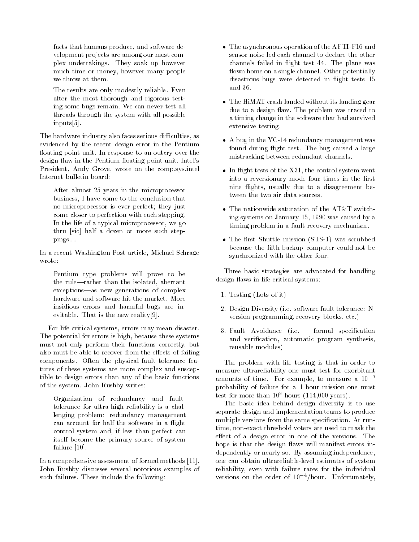facts that humans produce, and software development projects are among our most complex undertakings. They soak up however much time or money, however many people we throw at them.

The results are only modestly reliable. Even after the most thorough and rigorous testing some bugs remain. We can never test all threads through the system with all possible inputs[5].

The hardware industry also faces serious difficulties, as evidenced by the recent design error in the Pentium floating point unit. In response to an outcry over the design flaw in the Pentium floating point unit, Intel's President, Andy Grove, wrote on the comp.sys.intel Internet bulletin board:

After almost 25 years in the microprocessor business, I have come to the conclusion that no microprocessor is ever perfect; they just come closer to perfection with each stepping. In the life of a typical microprocessor, we go thru [sic] half a dozen or more such steppings....

In a recent Washington Post article, Michael Schrage wrote:

Pentium type problems will prove to be the rule-rather than the isolated, aberrant exceptions-as new generations of complex insidious errors and harmful bugs are inevitable. That is the new reality[9].

For life critical systems, errors may mean disaster. The potential for errors is high, because these systems must not only perform their functions correctly, but also must be able to recover from the effects of failing components. Often the physical fault tolerance features of these systems are more complex and susceptible to design errors than any of the basic functions of the system. John Rushby writes:

Organization of redundancy and faulttolerance for ultra-high reliability is a challenging problem: redundancy management can account for half the software in a flight control system and, if less than perfect can itself become the primary source of system failure [10].

In a comprehensive assessment of formal methods [11], John Rushby discusses several notorious examples of such failures. These include the following:

- The asynchronous operation of the AFTI-F16 and sensor noise led each channel to declare the other channels failed in flight test 44. The plane was flown home on a single channel. Other potentially disastrous bugs were detected in flight tests 15 and 36.
- The HiMAT crash landed without its landing gear due to a design flaw. The problem was traced to a timing change in the software that had survived extensive testing.
- A bug in the YC-14 redundancy management was found during flight test. The bug caused a large mistracking between redundant channels.
- $\bullet$  In flight tests of the X31, the control system went into a reversionary mode four times in the first nine 
ights, usually due to a disagreement between the two air data sources.
- The nationwide saturation of the AT&T switching systems on January 15, 1990 was caused by a timing problem in a fault-recovery mechanism.
- The first Shuttle mission (STS-1) was scrubbed because the fth backup computer could not be synchronized with the other four.

Three basic strategies are advocated for handling design flaws in life critical systems:

- 1. Testing (Lots of it)
- 2. Design Diversity (i.e. software fault tolerance: Nversion programming, recovery blocks, etc.)
- 3. Fault Avoidance (i.e. formal specification and verification, automatic program synthesis, reusable modules)

The problem with life testing is that in order to measure ultrareliability one must test for exorbitant amounts of time. For example, to measure a  $10^{-9}$ probability of failure for a 1 hour mission one must test for more than  $10^9$  hours (114,000 years).

The basic idea behind design diversity is to use separate design and implementation teams to produce multiple versions from the same specification. At runtime, non-exact threshold voters are used to mask the effect of a design error in one of the versions. The hope is that the design flaws will manifest errors independently or nearly so. By assuming independence, one can obtain ultrareliable-level estimates of system reliability, even with failure rates for the individual versions on the order of  $10^{-4}/$ hour. Unfortunately,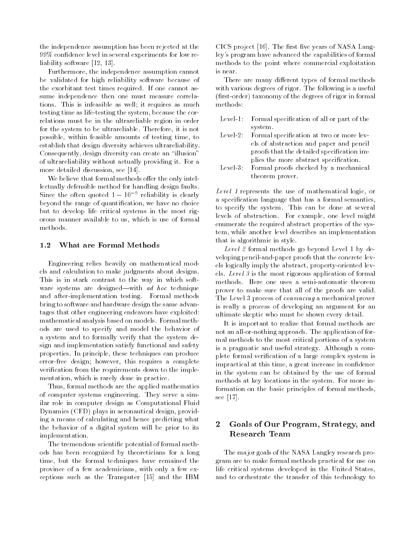the independence assumption has been rejected at the 99% condence level in several experiments for low reliability software [12, 13].

Furthermore, the independence assumption cannot be validated for high reliability software because of the exorbitant test times required. If one cannot assume independence then one must measure correlations. This is infeasible as well; it requires as much testing time as life-testing the system, because the correlations must be in the ultrareliable region in order for the system to be ultrareliable. Therefore, it is not possible, within feasible amounts of testing time, to establish that design diversity achieves ultrareliability. Consequently, design diversity can create an "illusion" of ultrareliability without actually providing it. For a more detailed discussion, see [14].

We believe that formal methods offer the only intellectually defensible method for handling design faults. Since the often quoted  $1 - 10$  reliability is clearly beyond the range of quantication, we have no choice but to develop life critical systems in the most rigorous manner available to us, which is use of formal methods.

### 1.2 What are Formal Methods

Engineering relies heavily on mathematical models and calculation to make judgments about designs. This is in stark contrast to the way in which soft ware systems are designed—with  $ad hoc$  technique and after-implementation testing. Formal methods bring to software and hardware design the same advantages that other engineering endeavors have exploited: mathematical analysis based on models. Formal methods are used to specify and model the behavior of a system and to formally verify that the system design and implementation satisfy functional and safety properties. In principle, these techniques can produce error-free design; however, this requires a complete verication from the requirements down to the imple mentation, which is rarely done in practice.

Thus, formal methods are the applied mathematics of computer systems engineering. They serve a similar role in computer design as Computational Fluid Dynamics (CFD) plays in aeronautical design, providing a means of calculating and hence predicting what the behavior of a digital system will be prior to its implementation.

The tremendous scientic potential of formal methods has been recognized by theoreticians for a long time, but the formal techniques have remained the province of a few academicians, with only a few exceptions such as the Transputer [15] and the IBM

 $CICS$  project [16]. The first five years of NASA Langley's program have advanced the capabilities of formal methods to the point where commercial exploitation is near.

There are many different types of formal methods with various degrees of rigor. The following is a useful (first-order) taxonomy of the degrees of rigor in formal methods:

|            | Level-1: Formal specification of all or part of the |
|------------|-----------------------------------------------------|
|            | system.                                             |
|            | Level-2: Formal specification at two or more lev-   |
|            | els of abstraction and paper and pencil             |
|            | proofs that the detailed specification im-          |
|            | plies the more abstract specification.              |
| $Level-3:$ | Formal proofs checked by a mechanical               |
|            | theorem prover.                                     |

Level 1 represents the use of mathematical logic, or a specification language that has a formal semantics, to specify the system. This can be done at several levels of abstraction. For example, one level might enumerate the required abstract properties of the system, while another level describes an implementation that is algorithmic in style.

Level 2 formal methods go beyond Level 1 by developing pencil-and-paper proofs that the concrete levels logically imply the abstract, property-oriented levels. Level 3 is the most rigorous application of formal methods. Here one uses a semi-automatic theorem prover to make sure that all of the proofs are valid. The Level 3 process of convincing a mechanical prover is really a process of developing an argument for an ultimate skeptic who must be shown every detail.

It is important to realize that formal methods are not an all-or-nothing approach. The application of formal methods to the most critical portions of a system is a pragmatic and useful strategy. Although a complete formal verification of a large complex system is impractical at this time, a great increase in confidence in the system can be obtained by the use of formal methods at key locations in the system. For more information on the basic principles of formal methods, see [17].

# 2 Goals of Our Program, Strategy, and Research Team

The major goals of the NASA Langley research program are to make formal methods practical for use on life critical systems developed in the United States, and to orchestrate the transfer of this technology to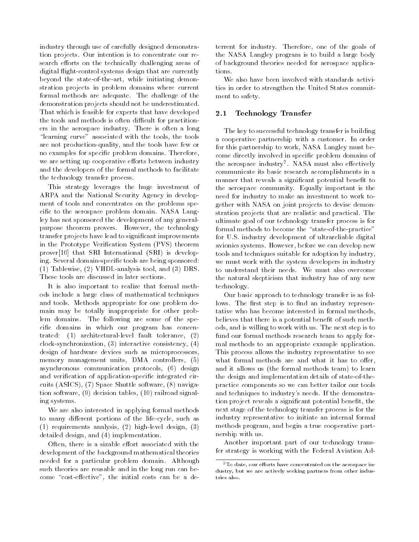industry through use of carefully designed demonstration projects. Our intention is to concentrate our research efforts on the technically challenging areas of digital flight-control systems design that are currently beyond the state-of-the-art, while initiating demonstration projects in problem domains where current formal methods are adequate. The challenge of the demonstration projects should not be underestimated. That which is feasible for experts that have developed the tools and methods is often difficult for practitioners in the aerospace industry. There is often a long "learning curve" associated with the tools, the tools are not production-quality, and the tools have few or no examples for specic problem domains. Therefore, we are setting up cooperative efforts between industry and the developers of the formal methods to facilitate the technology transfer process.

This strategy leverages the huge investment of ARPA and the National Security Agency in develop ment of tools and concentrates on the problems specific to the aerospace problem domain. NASA Langley has not sponsored the development of any generalpurpose theorem provers. However, the technology transfer projects have lead to signicant improvements in the Prototype Verification System (PVS) theorem prover[10] that SRI International (SRI) is developing. Several domain-specific tools are being sponsored: (1) Tablewise, (2) VHDL-analysis tool, and (3) DRS. These tools are discussed in later sections.

It is also important to realize that formal methods include a large class of mathematical techniques and tools. Methods appropriate for one problem domain may be totally inappropriate for other problem domains. The following are some of the specific domains in which our program has concentrated: (1) architectural-level fault tolerance, (2) clock-synchronization, (3) interactive consistency, (4) design of hardware devices such as microprocessors, memory management units, DMA controllers, (5) asynchronous communication protocols, (6) design and verification of application-specific integrated circuits (ASICS), (7) Space Shuttle software, (8) navigation software, (9) decision tables, (10) railroad signaling systems.

We are also interested in applying formal methods to many different portions of the life-cycle, such as (1) requirements analysis, (2) high-level design, (3) detailed design, and (4) implementation.

Often, there is a sizable effort associated with the development of the background mathematical theories needed for a particular problem domain. Although such theories are reusable and in the long run can become "cost-effective", the initial costs can be a deterrent for industry. Therefore, one of the goals of the NASA Langley program is to build a large body of background theories needed for aerospace applications.

We also have been involved with standards activities in order to strengthen the United States commit ment to safety.

# 2.1 Technology Transfer

The key to successful technology transfer is building a cooperative partnership with a customer. In order for this partnership to work, NASA Langley must become directly involved in specic problem domains of the aerospace industry . INASA must also ellectively communicate its basic research accomplishments in a manner that reveals a significant potential benefit to the aerospace community. Equally important is the need for industry to make an investment to work together with NASA on joint projects to devise demonstration projects that are realistic and practical. The ultimate goal of our technology transfer process is for formal methods to become the "state-of-the-practice" for U.S. industry development of ultrareliable digital avionics systems. However, before we can develop new tools and techniques suitable for adoption by industry, we must work with the system developers in industry to understand their needs. We must also overcome the natural skepticism that industry has of any new technology.

Our basic approach to technology transfer is as follows. The first step is to find an industry representative who has become interested in formal methods, believes that there is a potential benefit of such methods, and is willing to work with us. The next step is to fund our formal methods research team to apply formal methods to an appropriate example application. This process allows the industry representative to see what formal methods are and what it has to offer, and it allows us (the formal methods team) to learn the design and implementation details of state-of-thepractice components so we can better tailor our tools and techniques to industry's needs. If the demonstration project reveals a significant potential benefit, the next stage of the technology transfer process is for the industry representative to initiate an internal formal methods program, and begin a true cooperative partnership with us.

Another important part of our technology transfer strategy is working with the Federal Aviation Ad-

 $2^2$ To date, our efforts have concentrated on the aerospace industry, but we are actively seeking partners from other industries also.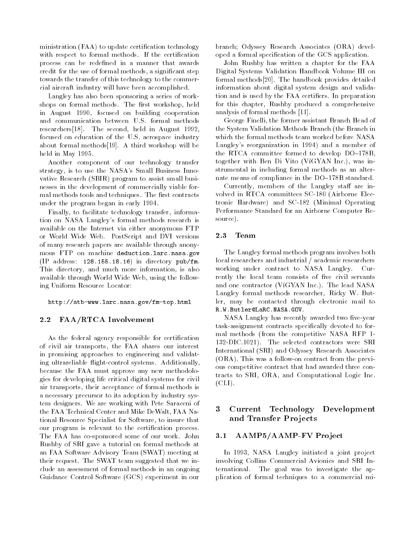ministration (FAA) to update certification technology with respect to formal methods. If the certification process can be redefined in a manner that awards credit for the use of formal methods, a signicant step towards the transfer of this technology to the commercial aircraft industry will have been accomplished.

Langley has also been sponsoring a series of workshops on formal methods. The first workshop, held in August 1990, focused on building cooperation and communication between U.S. formal methods researchers<sup>[18]</sup>. The second, held in August 1992, focused on education of the U.S. aerospace industry about formal methods[19]. A third workshop will be held in May 1995.

Another component of our technology transfer strategy, is to use the NASA's Small Business Innovative Research (SBIR) program to assist small businesses in the development of commercially viable formal methods tools and techniques. The first contracts under the program began in early 1994.

Finally, to facilitate technology transfer, information on NASA Langley's formal methods research is available on the Internet via either anonymous FTP or World Wide Web. PostScript and DVI versions of many research papers are available through anonymous FTP on machine deduction.larc.nasa.gov (IP address: 128.155.18.16) in directory pub/fm. This directory, and much more information, is also available through World Wide Web, using the following Uniform Resource Locator:

### http://atb-www.larc.nasa.gov/fm-top.html

## 2.2 FAA/RTCA Involvement

As the federal agency responsible for certification of civil air transports, the FAA shares our interest in promising approaches to engineering and validating ultrareliable flight-control systems. Additionally, because the FAA must approve any new methodologies for developing life critical digital systems for civil air transports, their acceptance of formal methods is a necessary precursor to its adoption by industry system designers. We are working with Pete Saraceni of the FAA Technical Center and Mike DeWalt, FAA National Resource Specialist for Software, to insure that our program is relevant to the certification process. The FAA has co-sponsored some of our work. John Rushby of SRI gave a tutorial on formal methods at an FAA Software Advisory Team (SWAT) meeting at their request. The SWAT team suggested that we include an assessment of formal methods in an ongoing Guidance Control Software (GCS) experiment in our

branch; Odyssey Research Associates (ORA) developed a formal specication of the GCS application.

John Rushby has written a chapter for the FAA Digital Systems Validation Handbook Volume III on formal methods[20]. The handbook provides detailed information about digital system design and validation and is used by the FAA certifiers. In preparation for this chapter, Rushby produced a comprehensive analysis of formal methods [11].

George Finelli, the former assistant Branch Head of the System Validation Methods Branch (the Branch in which the formal methods team worked before NASA Langley's reorganization in 1994) and a member of the RTCA committee formed to develop  $DO-178B$ , together with Ben Di Vito (VíGYAN Inc.), was instrumental in including formal methods as an alternate means of compliance in the  $DO-178B$  standard.

Currently, members of the Langley staff are involved in RTCA committees SC-180 (Airborne Electronic Hardware) and SC-182 (Minimal Operating Performance Standard for an Airborne Computer Resource).

#### $2.3$ Team

The Langley formal methods program involves both local researchers and industrial / academic researchers working under contract to NASA Langley. Currently the local team consists of five civil servants and one contractor (ViGYAN Inc.). The lead NASA Langley formal methods researcher, Ricky W. Butler, may be contacted through electronic mail to R.W.Butler@LaRC.NASA.GOV.

NASA Langley has recently awarded two five-year task-assignment contracts specically devoted to formal methods (from the competitive NASA RFP 1- 132-DIC.1021). The selected contractors were SRI International (SRI) and Odyssey Research Associates (ORA). This was a follow-on contract from the previous competitive contract that had awarded three contracts to SRI, ORA, and Computational Logic Inc.  $(CLI)$ .

#### 3 3 Current Technology Development and Transfer Projects

### 3.1 AAMP5/AAMP-FV Project

In 1993, NASA Langley initiated a joint project involving Collins Commercial Avionics and SRI International. The goal was to investigate the application of formal techniques to a commercial mi-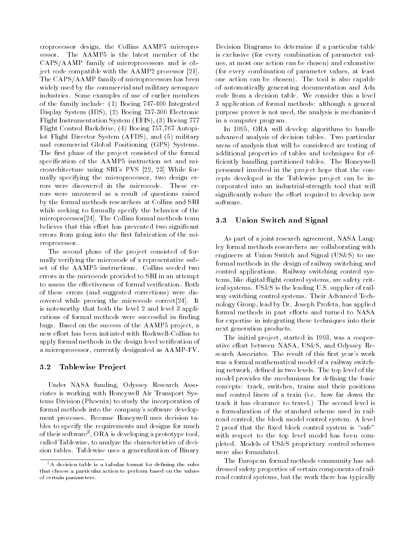croprocessor design, the Collins AAMP5 microprocessor. The AAMP5 is the latest member of the CAPS/AAMP family of microprocessors and is object code compatible with the AAMP2 processor [21]. The CAPS/AAMP family of microprocessors has been widely used by the commercial and military aerospace industries. Some examples of use of earlier members of the family include: (1) Boeing 747-400 Integrated Display System (IDS), (2) Boeing 737-300 Electronic Flight Instrumentation System (EFIS), (3) Boeing 777 Flight Control Backdrive, (4) Boeing 757,767 Autopilot Flight Director System (AFDS), and (5) military and commercial Global Positioning (GPS) Systems. The first phase of the project consisted of the formal specification of the AAMP5 instruction set and microarchitecture using SRI's PVS [22, 23] While formally specifying the microprocessor, two design errors were discovered in the microcode. These errors were uncovered as a result of questions raised by the formal methods researchers at Collins and SRI while seeking to formally specify the behavior of the microprocessor[24]. The Collins formal methods team  $3.3$ believes that this effort has prevented two significant errors from going into the first fabrication of the microprocessor.

The second phase of the project consisted of formally verifying the microcode of a representative subset of the AAMP5 instructions. Collins seeded two errors in the microcode provided to SRI in an attempt to assess the effectiveness of formal verification. Both of these errors (and suggested corrections) were discovered while proving the microcode correct[24]. It is noteworthy that both the level 2 and level 3 applications of formal methods were successful in finding bugs. Based on the success of the AAMP5 project, a new effort has been initiated with Rockwell-Collins to apply formal methods in the design level verification of a microprocessor, currently designated as AAMP-FV.

### 3.2 Tablewise Project

Under NASA funding, Odyssey Research Associates is working with Honeywell Air Transport Systems Division (Phoenix) to study the incorporation of formal methods into the company's software develop ment processes. Because Honeywell uses decision tables to specify the requirements and designs for much of their software", ORA is developing a prototype tool,  $\blacksquare$ called Tablewise, to analyze the characteristics of decision tables. Tablewise uses a generalization of Binary

Decision Diagrams to determine if a particular table is exclusive (for every combination of parameter values, at most one action can be chosen) and exhaustive (for every combination of parameter values, at least one action can be chosen). The tool is also capable of automatically generating documentation and Ada code from a decision table. We consider this a level 3 application of formal methods: although a general purpose prover is not used, the analysis is mechanized in a computer program.

In 1995, ORA will develop algorithms to handle advanced analysis of decision tables. Two particular areas of analysis that will be considered are testing of additional properties of tables and techniques for ef ficiently handling partitioned tables. The Honeywell personnel involved in the project hope that the concepts developed in the Tablewise project can be incorporated into an industrial-strength tool that will significantly reduce the effort required to develop new software.

### Union Switch and Signal

As part of a joint research agreement, NASA Langley formal methods researchers are collaborating with engineers at Union Switch and Signal (US&S) to use formal methods in the design of railway switching and control applications. Railway switching control systems, like digital flight control systems, are safety critical systems. US&S is the leading U.S. supplier of rail way switching control systems. Their Advanced Technology Group, lead by Dr. Joseph Profeta, has applied formal methods in past efforts and turned to NASA for expertise in integrating these techniques into their next generation products.

The initial project, started in 1993, was a cooperative effort between NASA, US&S, and Odyssey Research Associates. The result of this first year's work was a formal mathematical model of a railway switching network, defined in two levels. The top level of the model provides the mechanisms for defining the basic concepts: track, switches, trains and their positions and control liners of a train (i.e. how far down the track it has clearance to travel.) The second level is a formalization of the standard scheme used in railroad control, the block model control system. A level 2 proof that the fixed block control system is "safe" with respect to the top level model has been completed. Models of US&S proprietary control schemes were also formulated.

The European formal methods community has addressed safety properties of certain components of railroad control systems, but the work there has typically

 $3A$  decision table is a tabular format for defining the rules that choose a particular action to perform based on the values of certain parameters.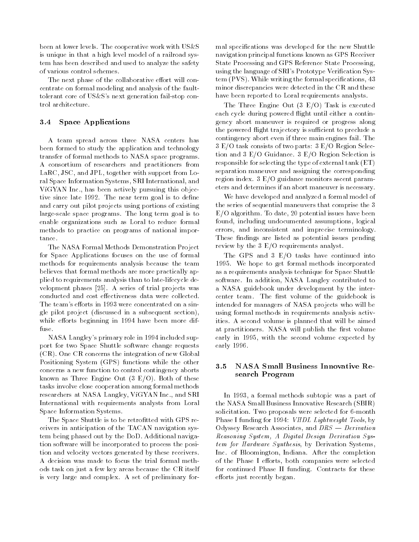been at lower levels. The cooperative work with US&S is unique in that a high level model of a railroad system has been described and used to analyze the safety of various control schemes.

The next phase of the collaborative effort will concentrate on formal modeling and analysis of the faulttolerant core of US&S's next generation fail-stop control architecture.

# 3.4 Space Applications

A team spread across three NASA centers has been formed to study the application and technology transfer of formal methods to NASA space programs. A consortium of researchers and practitioners from LaRC, JSC, and JPL, together with support from Loral Space Information Systems, SRI International, and ViGYAN Inc., has been actively pursuing this objective since late 1992. The near term goal is to define and carry out pilot projects using portions of existing large-scale space programs. The long term goal is to enable organizations such as Loral to reduce formal methods to practice on programs of national impor-

The NASA Formal Methods Demonstration Project for Space Applications focuses on the use of formal methods for requirements analysis because the team believes that formal methods are more practically applied to requirements analysis than to late-lifecycle development phases [25]. A series of trial projects was conducted and cost effectiveness data were collected. The team's efforts in 1993 were concentrated on a single pilot project (discussed in a subsequent section), while efforts beginning in 1994 have been more diffuse.

NASA Langley's primary role in 1994 included support for two Space Shuttle software change requests (CR). One CR concerns the integration of new Global Positioning System (GPS) functions while the other concerns a new function to control contingency aborts known as Three Engine Out (3 E/O). Both of these tasks involve close cooperation among formal methods researchers at NASA Langley, VíGYAN Inc., and SRI International with requirements analysts from Loral Space Information Systems.

The Space Shuttle is to be retrofitted with GPS receivers in anticipation of the TACAN navigation system being phased out by the DoD. Additional navigation software will be incorporated to process the position and velocity vectors generated by these receivers. A decision was made to focus the trial formal methods task on just a few key areas because the CR itself is very large and complex. A set of preliminary for-

mal specications was developed for the new Shuttle navigation principal functions known as GPS Receiver State Processing and GPS Reference State Processing, using the language of SRI's Prototype Verification System (PVS). While writing the formal specifications, 43 minor discrepancies were detected in the CR and these have been reported to Loral requirements analysts.

The Three Engine Out (3 E/O) Task is executed each cycle during powered flight until either a contingency abort maneuver is required or progress along the powered flight trajectory is sufficient to preclude a contingency abort even if three main engines fail. The 3 E/O task consists of two parts: 3 E/O Region Selection and 3 E/O Guidance. 3 E/O Region Selection is responsible for selecting the type of external tank (ET) separation maneuver and assigning the corresponding region index. 3 E/O guidance monitors ascent parameters and determines if an abort maneuver is necessary.

We have developed and analyzed a formal model of the series of sequential maneuvers that comprise the 3 E/O algorithm. To date, 20 potential issues have been found, including undocumented assumptions, logical errors, and inconsistent and imprecise terminology. These findings are listed as potential issues pending review by the 3 E/O requirements analyst.

The GPS and 3 E/O tasks have continued into 1995. We hope to get formal methods incorporated as a requirements analysis technique for Space Shuttle software. In addition, NASA Langley contributed to a NASA guidebook under development by the intercenter team. The first volume of the guidebook is intended for managers of NASA projects who will be using formal methods in requirements analysis activities. A second volume is planned that will be aimed at practitioners. NASA will publish the first volume early in 1995, with the second volume expected by early 1996.

#### 3.5 NASA Small Business Innovative Re- $3.5$ search Program

In 1993, a formal methods subtopic was a part of the NASA Small Business Innovative Research (SBIR) solicitation. Two proposals were selected for 6-month Phase I funding for 1994: VHDL Lightweight Tools, by Odyssey Research Associates, and  $DRS - Derivation$ Reasoning System, A Digital Design Derivation System for Hardware Synthesis, by Derivation Systems, Inc. of Bloomington, Indiana. After the completion of the Phase I efforts, both companies were selected for continued Phase II funding. Contracts for these efforts just recently began.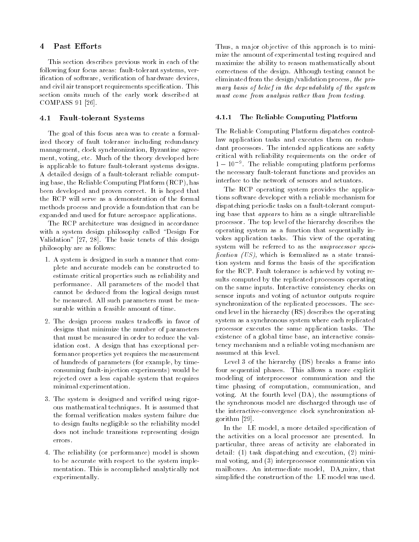#### $\overline{4}$ Past Efforts

This section describes previous work in each of the following four focus areas: fault-tolerant systems, verification of software, verification of hardware devices, and civil air transport requirements specification. This section omits much of the early work described at COMPASS 91 [26].

#### 4.1 Fault-tolerant Systems

The goal of this focus area was to create a formalized theory of fault tolerance including redundancy management, clock synchronization, Byzantine agree ment, voting, etc. Much of the theory developed here is applicable to future fault-tolerant systems designs. A detailed design of a fault-tolerant reliable computing base, the Reliable Computing Platform (RCP), has been developed and proven correct. It is hoped that the RCP will serve as a demonstration of the formal methods process and provide a foundation that can be expanded and used for future aerospace applications.

The RCP architecture was designed in accordance with a system design philosophy called "Design For Validation" [27, 28]. The basic tenets of this design philosophy are as follows:

- 1. A system is designed in such a manner that complete and accurate models can be constructed to estimate critical properties such as reliability and performance. All parameters of the model that cannot be deduced from the logical design must be measured. All such parameters must be measurable within a feasible amount of time.
- 2. The design process makes tradeoffs in favor of designs that minimize the number of parameters that must be measured in order to reduce the validation cost. A design that has exceptional performance properties yet requires the measurement of hundreds of parameters (for example, by timeconsuming fault-injection experiments) would be rejected over a less capable system that requires minimal experimentation.
- 3. The system is designed and veried using rigorous mathematical techniques. It is assumed that the formal verication makes system failure due to design faults negligible so the reliability model does not include transitions representing design errors.
- 4. The reliability (or performance) model is shown to be accurate with respect to the system imple mentation. This is accomplished analytically not experimentally.

Thus, a major objective of this approach is to minimize the amount of experimental testing required and maximize the ability to reason mathematically about correctness of the design. Although testing cannot be eliminated from the design/validation process, the primary basis of belief in the dependability of the system must come from analysis rather than from testing.

#### 4.1.1 The Reliable Computing Platform

The Reliable Computing Platform dispatches controllaw application tasks and executes them on redundant processors. The intended applications are safety critical with reliability requirements on the order of  $1 - 10$  . The reliable computing platform performs the necessary fault-tolerant functions and provides an interface to the network of sensors and actuators.

The RCP operating system provides the applications software developer with a reliable mechanism for dispatching periodic tasks on a fault-tolerant computing base that appears to him as a single ultrareliable processor. The top level of the hierarchy describes the operating system as a function that sequentially invokes application tasks. This view of the operating system will be referred to as the uniprocessor speci fication  $(US)$ , which is formalized as a state transition system and forms the basis of the specification for the RCP. Fault tolerance is achieved by voting results computed by the replicated processors operating on the same inputs. Interactive consistency checks on sensor inputs and voting of actuator outputs require synchronization of the replicated processors. The second level in the hierarchy (RS) describes the operating system as a synchronous system where each replicated processor executes the same application tasks. The existence of a global time base, an interactive consistency mechanism and a reliable voting mechanism are assumed at this level.

Level 3 of the hierarchy (DS) breaks a frame into four sequential phases. This allows a more explicit modeling of interprocessor communication and the time phasing of computation, communication, and voting. At the fourth level (DA), the assumptions of the synchronous model are discharged through use of the interactive-convergence clock synchronization algorithm [29].

In the LE model, a more detailed specification of the activities on a local processor are presented. In particular, three areas of activity are elaborated in detail: (1) task dispatching and execution, (2) minimal voting, and (3) interprocessor communication via mailboxes. An intermediate model, DA minv, that simplied the construction of the LE model was used.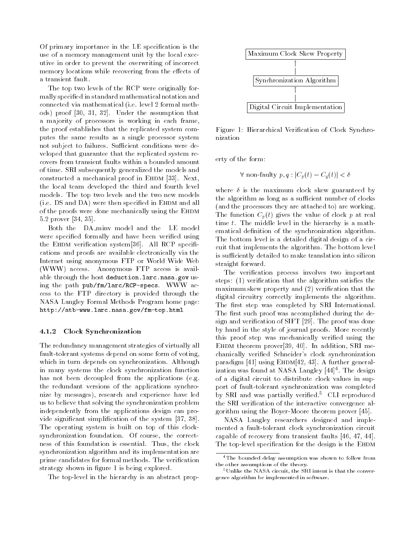Of primary importance in the LE specication is the use of a memory management unit by the local executive in order to prevent the overwriting of incorrect memory locations while recovering from the effects of a transient fault.

The top two levels of the RCP were originally formally specied in standard mathematical notation and connected via mathematical (i.e. level 2 formal methods) proof [30, 31, 32]. Under the assumption that a majority of processors is working in each frame, the proof establishes that the replicated system computes the same results as a single processor system not subject to failures. Sufficient conditions were developed that guarantee that the replicated system recovers from transient faults within a bounded amount of time. SRI subsequently generalized the models and constructed a mechanical proof in EHDM  $[33]$ . Next, the local team developed the third and fourth level models. The top two levels and the two new models (i.e. DS and DA) were then specified in EHDM and all of the proofs were done mechanically using the EHDM 5.2 prover [34, 35].

Both the DA minv model and the LE model were specified formally and have been verified using the EHDM verification system[36]. All RCP specifications and proofs are available electronically via the Internet using anonymous FTP or World Wide Web (WWW) access. Anonymous FTP access is available through the host deduction.larc.nasa.gov using the path pub/fm/larc/RCP-specs. WWW access to the FTP directory is provided through the NASA Langley Formal Methods Program home page: http://atb-www.larc.nasa.gov/fm-top.html

### 4.1.2 Clock Synchronization

The redundancy management strategies of virtually all fault-tolerant systems depend on some form of voting, which in turn depends on synchronization. Although in many systems the clock synchronization function has not been decoupled from the applications (e.g. the redundant versions of the applications synchronize by messages), research and experience have led us to believe that solving the synchronization problem independently from the applications design can provide signicant simplication of the system [37, 38]. The operating system is built on top of this clocksynchronization foundation. Of course, the correctness of this foundation is essential. Thus, the clock synchronization algorithm and its implementation are prime candidates for formal methods. The verification strategy shown in figure 1 is being explored.

The top-level in the hierarchy is an abstract prop-



Figure 1: Hierarchical Verication of Clock Synchro-

erty of the form:

$$
\forall \text{ non-faulty } p, q : |C_p(t) - C_q(t)| < \delta
$$

where  $\delta$  is the maximum clock skew guaranteed by the algorithm as long as a sufficient number of clocks (and the processors they are attached to) are working. The function  $C_p(t)$  gives the value of clock p at real time t. The middle level in the hierarchy is a mathematical definition of the synchronization algorithm. The bottom level is a detailed digital design of a circuit that implements the algorithm. The bottom level is sufficiently detailed to make translation into silicon straight forward.

The verification process involves two important steps:  $(1)$  verification that the algorithm satisfies the maximum skew property and (2) verification that the digital circuitry correctly implements the algorithm. The first step was completed by SRI International. The first such proof was accomplished during the design and verification of SIFT [29]. The proof was done by hand in the style of journal proofs. More recently this proof step was mechanically veried using the EHDM theorem prover $[39, 40]$ . In addition, SRI mechanically veried Schneider's clock synchronization paradigm [41] using  $E$ HDM[42, 43]. A further generalization was found at NASA Langley [44] Let the design that of a digital circuit to distribute clock values in support of fault-tolerant synchronization was completed by SRI and was partially verified.<sup>5</sup> CLI reproduced the SRI verification of the interactive convergence algorithm using the Boyer-Moore theorem prover [45].

NASA Langley researchers designed and imple mented a fault-tolerant clock synchronization circuit capable of recovery from transient faults [46, 47, 44]. The top-level specification for the design is the EHDM

<sup>4</sup>The bounded delay assumption was shown to follow from the other assumptions of the theory.

<sup>5</sup>Unlike the NASA circuit, the SRI intent is that the convergence algorithm be implemented in software.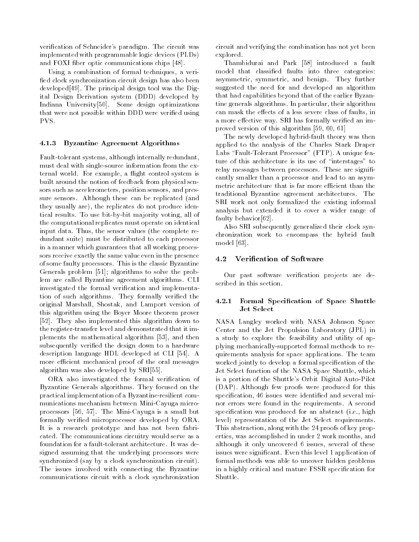verication of Schneider's paradigm. The circuit was implemented with programmable logic devices (PLDs) and FOXI fiber optic communications chips [48].

Using a combination of formal techniques, a veri fied clock synchronization circuit design has also been developed[49]. The principal design tool was the Digital Design Derivation system (DDD) developed by Indiana University[50]. Some design optimizations that were not possible within DDD were verified using PVS.

### 4.1.3 Byzantine Agreement Algorithms

Fault-tolerant systems, although internally redundant, must deal with single-source information from the external world. For example, a flight control system is built around the notion of feedback from physical sensors such as accelerometers, position sensors, and pressure sensors. Although these can be replicated (and they usually are), the replicates do not produce identical results. To use bit-by-bit majority voting, all of the computational replicates must operate on identical input data. Thus, the sensor values (the complete redundant suite) must be distributed to each processor in a manner which guarantees that all working processors receive exactly the same value even in the presence of some faulty processors. This is the classic Byzantine Generals problem [51]; algorithms to solve the problem are called Byzantine agreement algorithms. CLI investigated the formal verification and implementation of such algorithms. They formally veried the original Marshall, Shostak, and Lamport version of this algorithm using the Boyer Moore theorem prover [52]. They also implemented this algorithm down to the register-transfer level and demonstrated that it implements the mathematical algorithm [53], and then subsequently veried the design down to a hardware description language HDL developed at CLI [54]. A more efficient mechanical proof of the oral messages algorithm was also developed by SRI[55].

ORA also investigated the formal verification of Byzantine Generals algorithms. They focused on the practical implementation of a Byzantine-resilient com munications mechanism between Mini-Cayuga microprocessors [56, 57]. The Mini-Cayuga is a small but formally verified microprocessor developed by ORA. It is a research prototype and has not been fabricated. The communications circuitry would serve as a foundation for a fault-tolerant architecture. It was designed assuming that the underlying processors were synchronized (say by a clock synchronization circuit). The issues involved with connecting the Byzantine communications circuit with a clock synchronization

circuit and verifying the combination has not yet been explored.

Thambidurai and Park [58] introduced a fault model that classied faults into three categories: asymmetric, symmetric, and benign. They further suggested the need for and developed an algorithm that had capabilities beyond that of the earlier Byzantine generals algorithms. In particular, their algorithm can mask the effects of a less severe class of faults, in a more effective way. SRI has formally verified an improved version of this algorithm [59, 60, 61]

The newly developed hybrid-fault theory was then applied to the analysis of the Charles Stark Draper Labs "Fault-Tolerant Processor" (FTP). A unique feature of this architecture is its use of "interstages" to relay messages between processors. These are significantly smaller than a processor and lead to an asymmetric architecture that is far more efficient than the traditional Byzantine agreement architectures. The SRI work not only formalized the existing informal analysis but extended it to cover a wider range of faulty behavior[62].

Also SRI subsequently generalized their clock synchronization work to encompass the hybrid fault model [63].

# 4.2 Verication of Software

Our past software verication projects are described in this section.

### 4.2.1 Formal Specication of Space Shuttle Jet Select

NASA Langley worked with NASA Johnson Space Center and the Jet Propulsion Laboratory (JPL) in a study to explore the feasibility and utility of applying mechanically-supported formal methods to requirements analysis for space applications. The team worked jointly to develop a formal specification of the Jet Select function of the NASA Space Shuttle, which is a portion of the Shuttle's Orbit Digital Auto-Pilot (DAP). Although few proofs were produced for this specification, 46 issues were identified and several minor errors were found in the requirements. A second specification was produced for an abstract (i.e., high level) representation of the Jet Select requirements. This abstraction, along with the 24 proofs of key properties, was accomplished in under 2 work months, and although it only uncovered 6 issues, several of these issues were signicant. Even this level 1 application of formal methods was able to uncover hidden problems in a highly critical and mature FSSR specication for Shuttle.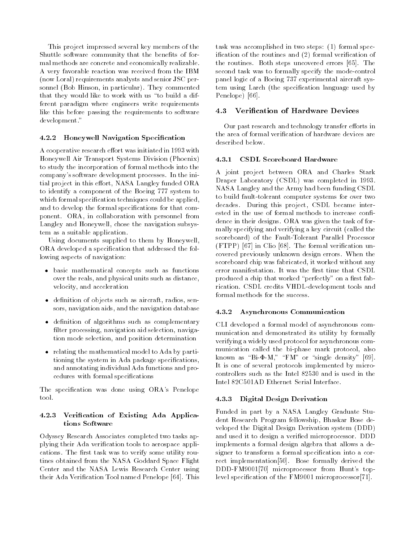This project impressed several key members of the Shuttle software community that the benefits of formal methods are concrete and economically realizable. A very favorable reaction was received from the IBM (now Loral) requirements analysts and senior JSC personnel (Bob Hinson, in particular). They commented that they would like to work with us "to build a different paradigm where engineers write requirements like this before passing the requirements to software development."

# 4.2.2 Honeywell Navigation Specication

A cooperative research effort was initiated in 1993 with Honeywell Air Transport Systems Division (Phoenix) to study the incorporation of formal methods into the company's software development processes. In the initial project in this effort, NASA Langley funded ORA to identify a component of the Boeing 777 system to which formal specification techniques could be applied, and to develop the formal specications for that component. ORA, in collaboration with personnel from Langley and Honeywell, chose the navigation subsystem as a suitable application.

Using documents supplied to them by Honeywell, ORA developed a specication that addressed the following aspects of navigation:

- basic mathematical concepts such as functions over the reals, and physical units such as distance, velocity, and acceleration
- $\bullet$  definition of objects such as aircraft, radios, sensors, navigation aids, and the navigation database
- $\bullet$  definition of algorithms such as complementary filter processing, navigation aid selection, navigation mode selection, and position determination
- relating the mathematical model to Ada by partitioning the system in Ada package specications, and annotating individual Ada functions and procedures with formal specifications

The specification was done using ORA's Penelope tool.

## 4.2.3 Verication of Existing Ada Applications Software

Odyssey Research Associates completed two tasks applying their Ada verification tools to aerospace applications. The first task was to verify some utility routines obtained from the NASA Goddard Space Flight Center and the NASA Lewis Research Center using their Ada Verication Tool named Penelope [64]. This

task was accomplished in two steps: (1) formal specification of the routines and  $(2)$  formal verification of the routines. Both steps uncovered errors [65]. The second task was to formally specify the mode-control panel logic of a Boeing 737 experimental aircraft system using Larch (the specification language used by Penelope) [66].

## 4.3 Verification of Hardware Devices

Our past research and technology transfer efforts in the area of formal verification of hardware devices are described below.

#### 4.3.1 **CSDL** Scoreboard Hardware

A joint project between ORA and Charles Stark Draper Laboratory (CSDL) was completed in 1993. NASA Langley and the Army had been funding CSDL to build fault-tolerant computer systems for over two decades. During this project, CSDL became interested in the use of formal methods to increase confidence in their designs. ORA was given the task of formally specifying and verifying a key circuit (called the scoreboard) of the Fault-Tolerant Parallel Processor (FTPP) [67] in Clio [68]. The formal verication uncovered previously unknown design errors. When the scoreboard chip was fabricated, it worked without any error manifestation. It was the first time that CSDL produced a chip that worked "perfectly" on a first fabrication. CSDL credits VHDL-development tools and

#### 4.3.2 Asynchronous Communication

CLI developed a formal model of asynchronous com munication and demonstrated its utility by formally verifying a widely used protocol for asynchronous com munication called the bi-phase mark protocol, also known as "Bi- $\Phi$ -M," "FM" or "single density" [69]. It is one of several protocols implemented by microcontrollers such as the Intel 82530 and is used in the Intel 82C501AD Ethernet Serial Interface.

### 4.3.3 Digital Design Derivation

Funded in part by a NASA Langley Graduate Student Research Program fellowship, Bhaskar Bose developed the Digital Design Derivation system (DDD) and used it to design a veried microprocessor. DDD implements a formal design algebra that allows a designer to transform a formal specification into a correct implementation[50]. Bose formally derived the DDD-FM9001[70] microprocessor from Hunt's toplevel specification of the FM9001 microprocessor[71].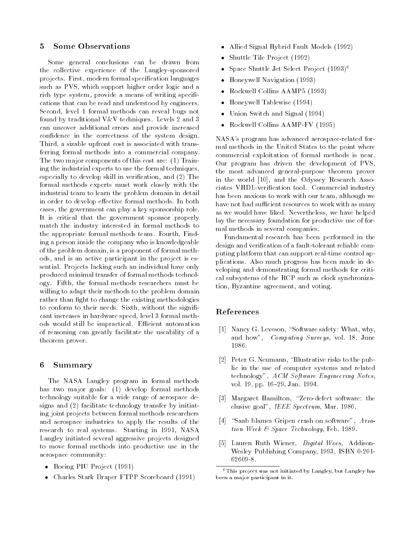#### **Some Observations**  $\mathbf{5}$

Some general conclusions can be drawn from the collective experience of the Langley-sponsored projects. First, modern formal specification languages such as PVS, which support higher order logic and a rich type system, provide a means of writing specifications that can be read and understood by engineers. Second, level 1 formal methods can reveal bugs not found by traditional V&V techniques. Levels 2 and 3 can uncover additional errors and provide increased condence in the correctness of the system design. Third, a sizable upfront cost is associated with transferring formal methods into a commercial company. The two major components of this cost are: (1) Training the industrial experts to use the formal techniques, especially to develop skill in verication, and (2) The formal methods experts must work closely with the industrial team to learn the problem domain in detail in order to develop effective formal methods. In both cases, the government can play a key sponsorship role. It is critical that the government sponsor properly match the industry interested in formal methods to the appropriate formal methods team. Fourth, Finding a person inside the company who is knowledgeable of the problem domain, is a proponent of formal methods, and is an active participant in the project is essential. Projects lacking such an individual have only produced minimal transfer of formal methods technology. Fifth, the formal methods researchers must be willing to adapt their methods to the problem domain rather than fight to change the existing methodologies to conform to their needs. Sixth, without the significant increases in hardware speed, level 3 formal methods would still be impractical. Efficient automation of reasoning can greatly facilitate the useability of a theorem prover.

# 6 Summary

The NASA Langley program in formal methods has two major goals: (1) develop formal methods technology suitable for a wide range of aerospace designs and (2) facilitate technology transfer by initiating joint projects between formal methods researchers and aerospace industries to apply the results of the research to real systems. Starting in 1991, NASA Langley initiated several aggressive projects designed to move formal methods into productive use in the aerospace community:

- Boeing PIU Project (1991)
- Charles Stark Draper FTPP Scoreboard (1991)
- Allied Signal Hybrid Fault Models (1992)
- Shuttle Tile Project (1992)
- Space Shuttle Jet Select Project (1993)<sup>6</sup>
- Honeywell Navigation (1993)
- Rockwell Collins AAMP5 (1993)
- Honeywell Tablewise (1994)
- Union Switch and Signal (1994)
- Rockwell Collins AAMP-FV (1995)

NASA's program has advanced aerospace-related formal methods in the United States to the point where commercial exploitation of formal methods is near. Our program has driven the development of PVS, the most advanced general-purpose theorem prover in the world [10], and the Odyssey Research Associates VHDL-verication tool. Commercial industry has been anxious to work with our team, although we have not had sufficient resources to work with as many as we would have liked. Nevertheless, we have helped lay the necessary foundation for productive use of formal methods in several companies.

Fundamental research has been performed in the design and verification of a fault-tolerant reliable computing platform that can support real-time control applications. Also much progress has been made in developing and demonstrating formal methods for critical subsystems of the RCP such as clock synchronization, Byzantine agreement, and voting.

# References

- [1] Nancy G. Leveson, "Software safety: What, why, and how", Computing Surveys, vol. 18, June 1986.
- [2] Peter G. Neumann, "Illustrative risks to the public in the use of computer systems and related technology", ACM Software Engineering Notes, vol. 19, pp. 16-29, Jan. 1994.
- [3] Margaret Hamilton, "Zero-defect software: the elusive goal", IEEE Spectrum, Mar. 1986.
- [4] "Saab blames Gripen crash on software",  $Avia$ tion Week & Space Technology, Feb. 1989.
- [5] Lauren Ruth Wiener, *Digital Woes*, Addison-Wesley Publishing Company, 1993, ISBN 0-201- 62609-8.

 $6$ This project was not initiated by Langley, but Langley has been a major participant in it.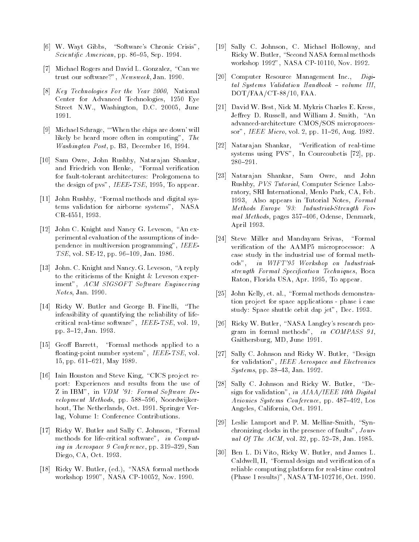- [6] W. Wayt Gibbs, "Software's Chronic Crisis", Scientific American, pp. 86-95, Sep. 1994.
- [7] Michael Rogers and David L. Gonzalez, "Can we trust our software?", Newsweek, Jan. 1990.
- [8] Key Technologies For the Year 2000, National Center for Advanced Technologies, 1250 Eye Street N.W., Washington, D.C. 20005, June 1991.
- [9] Michael Schrage, \`When the chips are down' will likely be heard more often in computing", The Washington Post, p. B3, December 16, 1994.
- [10] Sam Owre, John Rushby, Natarajan Shankar, and Friedrich von Henke, "Formal verification for fault-tolerant architectures: Prolegomena to the design of pvs", IEEE-TSE, 1995, To appear.
- [11] John Rushby, "Formal methods and digital systems validation for airborne systems", NASA CR-4551, 1993.
- [12] John C. Knight and Nancy G. Leveson, "An experimental evaluation of the assumptions of independence in multiversion programming", IEEE-TSE, vol. SE-12, pp. 96-109, Jan. 1986.
- [13] John. C. Knight and Nancy. G. Leveson, "A reply to the criticisms of the Knight & Leveson experiment", ACM SIGSOFT Software Engineering Notes, Jan. 1990.
- [14] Ricky W. Butler and George B. Finelli, "The infeasibility of quantifying the reliability of lifecritical real-time software", IEEE-TSE, vol. 19, pp. 3{12, Jan. 1993.
- [15] Geoff Barrett, "Formal methods applied to a floating-point number system", IEEE-TSE, vol. 15, pp. 611-621, May 1989.
- [16] Iain Houston and Steve King, "CICS project report: Experiences and results from the use of Z in IBM", in VDM '91: Formal Software De $velocityment$  Methods, pp. 588-596, Noordwijkerhout, The Netherlands, Oct. 1991. Springer Verlag, Volume 1: Conference Contributions.
- [17] Ricky W. Butler and Sally C. Johnson, "Formal methods for life-critical software", in Computing in Aerospace 9 Conference, pp. 319-329, San Diego, CA, Oct. 1993.
- [18] Ricky W. Butler, (ed.), "NASA formal methods workshop 1990", NASA CP-10052, Nov. 1990.
- [19] Sally C. Johnson, C. Michael Holloway, and Ricky W. Butler, "Second NASA formal methods workshop 1992", NASA CP-10110, Nov. 1992.
- [20] Computer Resource Management Inc., Digital Systems Validation Handbook { volume III, DOT/FAA/CT-88/10, FAA.
- [21] David W. Best, Nick M. Mykris Charles E. Kress, Jeffrey D. Russell, and William J. Smith, "An advanced-architecture CMOS/SOS microprocessor", IEEE Micro, vol. 2, pp. 11-26, Aug. 1982.
- [22] Natarajan Shankar, "Verification of real-time systems using PVS", In Courcoubetis [72], pp.  $280 - 291$ .
- [23] Natarajan Shankar, Sam Owre, and John Rushby, PVS Tutorial, Computer Science Laboratory, SRI International, Menlo Park, CA, Feb. 1993, Also appears in Tutorial Notes, Formal Methods Europe '93: Industrial-Strength For mal Methods, pages  $357{-}406$ , Odense, Denmark, April 1993.
- $[24]$  Steve Miller and Mandayam Srivas, "Formal verification of the AAMP5 microprocessor: A case study in the industrial use of formal methods", in WIFT'95 Workshop on Industrialstrength Formal Specification Techniques, Boca Raton, Florida USA, Apr. 1995, To appear.
- [25] John Kelly, et. al., "Formal methods demonstration project for space applications - phase i case study: Space shuttle orbit dap jet", Dec. 1993.
- [26] Ricky W. Butler, "NASA Langley's research program in formal methods", in COMPASS 91, Gaithersburg, MD, June 1991.
- [27] Sally C. Johnson and Ricky W. Butler, "Design for validation", IEEE Aerospace and Electronics  $S$ *ystems*, pp. 38-43, Jan. 1992.
- [28] Sally C. Johnson and Ricky W. Butler,  $\mathrm{H}^{\alpha}$ Design for validation", in  $AIAA/IEEE$  10th Digital Avionics Systems Conference, pp. 487-492, Los Angeles, California, Oct. 1991.
- [29] Leslie Lamport and P. M. Melliar-Smith, "Synchronizing clocks in the presence of faults", Journal Of The  $ACM$ , vol. 32, pp. 52-78, Jan. 1985.
- [30] Ben L. Di Vito, Ricky W. Butler, and James L. Caldwell, II, "Formal design and verification of a reliable computing platform for real-time control (Phase 1 results)", NASA TM-102716, Oct. 1990.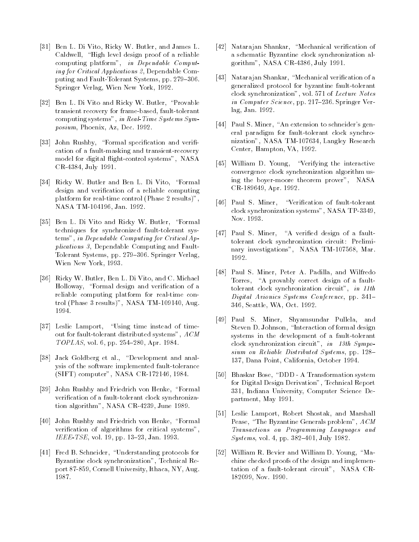- [31] Ben L. Di Vito, Ricky W. Butler, and James L. Caldwell, "High level design proof of a reliable computing platform", in Dependable Computing for Critical Applications 2, Dependable Computing and Fault-Tolerant Systems, pp. 279-306. Springer Verlag, Wien New York, 1992.
- [32] Ben L. Di Vito and Ricky W. Butler, "Provable transient recovery for frame-based, fault-tolerant computing systems", in Real-Time Systems Symposium, Phoenix, Az, Dec. 1992.
- [33] John Rushby, "Formal specification and verification of a fault-masking and transient-recovery model for digital 
ight-control systems", NASA CR-4384, July 1991.
- [34] Ricky W. Butler and Ben L. Di Vito, "Formal design and verication of a reliable computing platform for real-time control (Phase 2 results)", NASA TM-104196, Jan. 1992.
- [35] Ben L. Di Vito and Ricky W. Butler, "Formal techniques for synchronized fault-tolerant systems", in Dependable Computing for Critical Applications 3, Dependable Computing and Fault-Tolerant Systems, pp. 279-306. Springer Verlag, Wien New York, 1993.
- [36] Ricky W. Butler, Ben L. Di Vito, and C. Michael Holloway, "Formal design and verification of a reliable computing platform for real-time control (Phase 3 results)", NASA TM-109140, Aug. 1994.
- [37] Leslie Lamport, "Using time instead of timeout for fault-tolerant distributed systems", ACM  $TOPLAS$ , vol. 6, pp. 254-280, Apr. 1984.
- [38] Jack Goldberg et al., "Development and analysis of the software implemented fault-tolerance (SIFT) computer", NASA CR-172146, 1984.
- [39] John Rushby and Friedrich von Henke, "Formal verication of a fault-tolerant clock synchronization algorithm", NASA CR-4239, June 1989.
- [40] John Rushby and Friedrich von Henke, "Formal verification of algorithms for critical systems", IEEE-TSE, vol. 19, pp. 13-23, Jan. 1993.
- [41] Fred B. Schneider, "Understanding protocols for Byzantine clock synchronization", Technical Report 87-859, Cornell University, Ithaca, NY, Aug. 1987.
- [42] Natarajan Shankar, "Mechanical verification of a schematic Byzantine clock synchronization algorithm", NASA CR-4386, July 1991.
- [43] Natarajan Shankar, "Mechanical verification of a generalized protocol for byzantine fault-tolerant clock synchronization", vol. 571 of Lecture Notes in Computer Science, pp. 217-236. Springer Verlag, Jan. 1992.
- [44] Paul S. Miner, "An extension to schneider's general paradigm for fault-tolerant clock synchronization", NASA TM-107634, Langley Research Center, Hampton, VA, 1992.
- [45] William D. Young, "Verifying the interactive convergence clock synchronization algorithm using the boyer-moore theorem prover", NASA CR-189649, Apr. 1992.
- [46] Paul S. Miner, "Verification of fault-tolerant clock synchronization systems", NASA TP-3349, Nov. 1993.
- [47] Paul S. Miner, "A verified design of a faulttolerant clock synchronization circuit: Preliminary investigations", NASA TM-107568, Mar. 1992.
- [48] Paul S. Miner, Peter A. Padilla, and Wilfredo Torres, "A provably correct design of a faulttolerant clock synchronization circuit", in 11th Digital Avionics Systems Conference, pp. 341-346, Seattle, WA, Oct. 1992.
- [49] Paul S. Miner, Shyamsundar Pullela, and Steven D. Johnson, "Interaction of formal design systems in the development of a fault-tolerant clock synchronization circuit", in 13th Symposium on Reliable Distributed Systems, pp.  $128-$ 137, Dana Point, California, October 1994.
- [50] Bhaskar Bose, "DDD A Transformation system for Digital Design Derivation", Technical Report 331, Indiana University, Computer Science Department, May 1991.
- [51] Leslie Lamport, Robert Shostak, and Marshall Pease, "The Byzantine Generals problem",  $ACM$ Transactions on Programming Languages and  $Systems, vol. 4, pp. 382-401, July 1982.$
- [52] William R. Bevier and William D. Young, "Machine checked proofs of the design and implementation of a fault-tolerant circuit", NASA CR-182099, Nov. 1990.